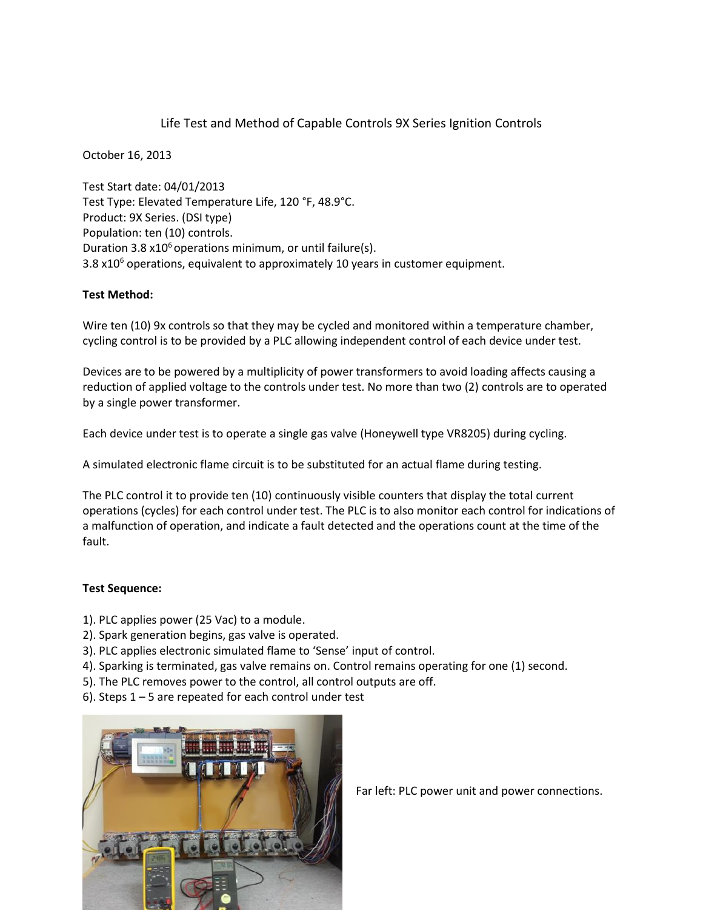## Life Test and Method of Capable Controls 9X Series Ignition Controls

October 16, 2013

Test Start date: 04/01/2013 Test Type: Elevated Temperature Life, 120 °F, 48.9°C. Product: 9X Series. (DSI type) Population: ten (10) controls. Duration 3.8  $x10<sup>6</sup>$  operations minimum, or until failure(s). 3.8  $x10<sup>6</sup>$  operations, equivalent to approximately 10 years in customer equipment.

## **Test Method:**

Wire ten (10) 9x controls so that they may be cycled and monitored within a temperature chamber, cycling control is to be provided by a PLC allowing independent control of each device under test.

Devices are to be powered by a multiplicity of power transformers to avoid loading affects causing a reduction of applied voltage to the controls under test. No more than two (2) controls are to operated by a single power transformer.

Each device under test is to operate a single gas valve (Honeywell type VR8205) during cycling.

A simulated electronic flame circuit is to be substituted for an actual flame during testing.

The PLC control it to provide ten (10) continuously visible counters that display the total current operations (cycles) for each control under test. The PLC is to also monitor each control for indications of a malfunction of operation, and indicate a fault detected and the operations count at the time of the fault.

## **Test Sequence:**

- 1). PLC applies power (25 Vac) to a module.
- 2). Spark generation begins, gas valve is operated.
- 3). PLC applies electronic simulated flame to 'Sense' input of control.
- 4). Sparking is terminated, gas valve remains on. Control remains operating for one (1) second.
- 5). The PLC removes power to the control, all control outputs are off.
- 6). Steps 1 5 are repeated for each control under test



Far left: PLC power unit and power connections.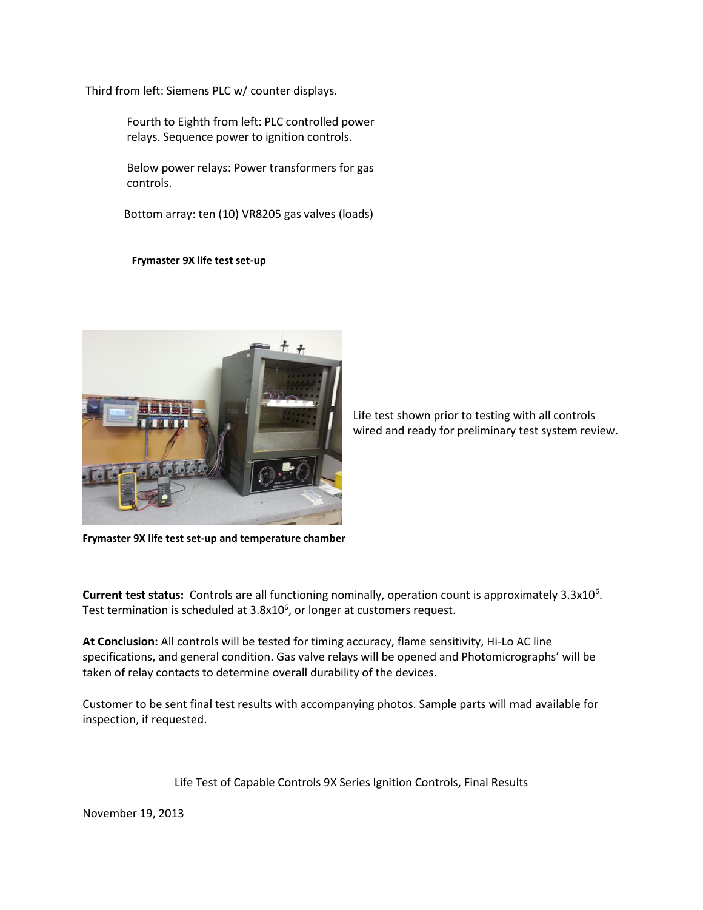Third from left: Siemens PLC w/ counter displays.

Fourth to Eighth from left: PLC controlled power relays. Sequence power to ignition controls.

Below power relays: Power transformers for gas controls.

Bottom array: ten (10) VR8205 gas valves (loads)

**Frymaster 9X life test set-up**



Life test shown prior to testing with all controls wired and ready for preliminary test system review.

**Frymaster 9X life test set-up and temperature chamber**

Current test status: Controls are all functioning nominally, operation count is approximately 3.3x10<sup>6</sup>. Test termination is scheduled at 3.8x10<sup>6</sup>, or longer at customers request.

**At Conclusion:** All controls will be tested for timing accuracy, flame sensitivity, Hi-Lo AC line specifications, and general condition. Gas valve relays will be opened and Photomicrographs' will be taken of relay contacts to determine overall durability of the devices.

Customer to be sent final test results with accompanying photos. Sample parts will mad available for inspection, if requested.

Life Test of Capable Controls 9X Series Ignition Controls, Final Results

November 19, 2013